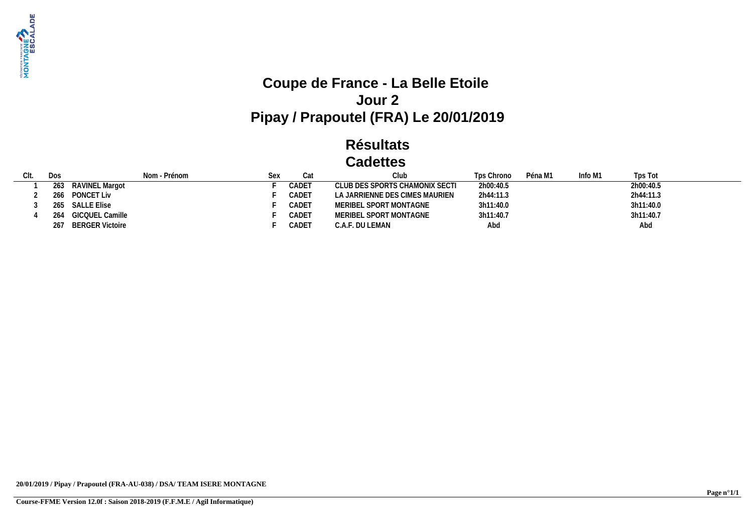

## **Résultats Cadettes**

| CIt. | Dos | Nom - Prénom        | Sav | ا∂ت      | Club                           | Tps Chrono | Péna M1 | Info M1 | Tps Tot   |
|------|-----|---------------------|-----|----------|--------------------------------|------------|---------|---------|-----------|
|      |     | 263 RAVINEL Margot  |     | CADE"    | CLUB DES SPORTS CHAMONIX SECTI | 2h00:40.5  |         |         | 2h00:40.5 |
|      |     | 266 PONCET Liv      |     | CADET    | LA JARRIENNE DES CIMES MAURIEN | 2h44:11.3  |         |         | 2h44:11.3 |
|      |     | 265 SALLE Elise     |     | CADE"    | MERIBEL SPORT MONTAGNE         | 3h11:40.0  |         |         | 3h11:40.0 |
|      |     | 264 GICQUEL Camille |     | CADE"    | MERIBEL SPORT MONTAGNE         | 3h11:40.7  |         |         | 3h11:40.7 |
|      | 267 | BERGER Victoire     |     | $CADE^-$ | C.A.F. DU LEMAN                | Abd        |         |         | Abc       |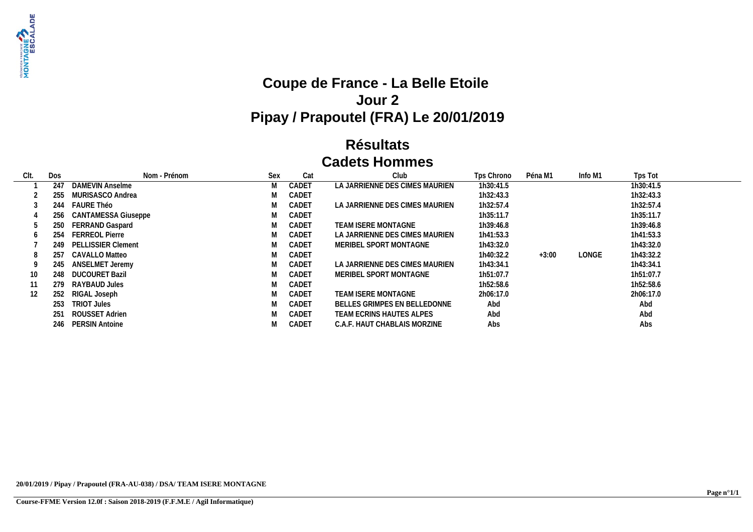

#### **Résultats Cadets Hommes**

| Clt. | <b>Dos</b> | Nom - Prénom              | Sex | Cat               | Club                           | Tps Chrono | Péna M1 | Info M1      | Tps Tot   |
|------|------------|---------------------------|-----|-------------------|--------------------------------|------------|---------|--------------|-----------|
|      | 247        | DAMEVIN Anselme           | M   | CADET             | LA JARRIENNE DES CIMES MAURIEN | 1h30:41.5  |         |              | 1h30:41.5 |
|      | 255.       | MURISASCO Andrea          | M   | CADET             |                                | 1h32:43.3  |         |              | 1h32:43.3 |
|      | 244        | FAURE Théo                | M   | CADET             | LA JARRIENNE DES CIMES MAURIEN | 1h32:57.4  |         |              | 1h32:57.4 |
|      | 256        | CANTAMESSA Giuseppe       | M   | CADE1             |                                | 1h35:11.7  |         |              | 1h35:11.7 |
|      | 250        | <b>FERRAND Gaspard</b>    | M   | CADET             | TEAM ISERE MONTAGNE            | 1h39:46.8  |         |              | 1h39:46.8 |
|      | 254        | <b>FERREOL Pierre</b>     | M   | CADET             | LA JARRIENNE DES CIMES MAURIEN | 1h41:53.3  |         |              | 1h41:53.3 |
|      | 249        | <b>PELLISSIER Clement</b> | M   | CADET             | MERIBEL SPORT MONTAGNE         | 1h43:32.0  |         |              | 1h43:32.0 |
|      | 257        | CAVALLO Matteo            | M   | CADET             |                                | 1h40:32.2  | $+3:00$ | <b>LONGE</b> | 1h43:32.2 |
|      | 245        | ANSELMET Jeremy           | M   | CADET             | LA JARRIENNE DES CIMES MAURIEN | 1h43:34.1  |         |              | 1h43:34.1 |
| 10   |            | 248 DUCOURET Bazil        | M   | CADET             | MERIBEL SPORT MONTAGNE         | 1h51:07.7  |         |              | 1h51:07.7 |
|      | 279        | RAYBAUD Jules             | M   | CADET             |                                | 1h52:58.6  |         |              | 1h52:58.6 |
| 12   | 252        | RIGAL Joseph              | M   | CADET             | TEAM ISERE MONTAGNE            | 2h06:17.0  |         |              | 2h06:17.0 |
|      | 253        | <b>TRIOT Jules</b>        | M   | CADET             | BELLES GRIMPES EN BELLEDONNE   | Abd        |         |              | Abd       |
|      | 251        | ROUSSET Adrien            | M   | CADET             | TEAM ECRINS HAUTES ALPES       | Abd        |         |              | Abd       |
|      | 246        | <b>PERSIN Antoine</b>     |     | CADE <sub>1</sub> | C.A.F. HAUT CHABLAIS MORZINE   | Abs        |         |              | Abs       |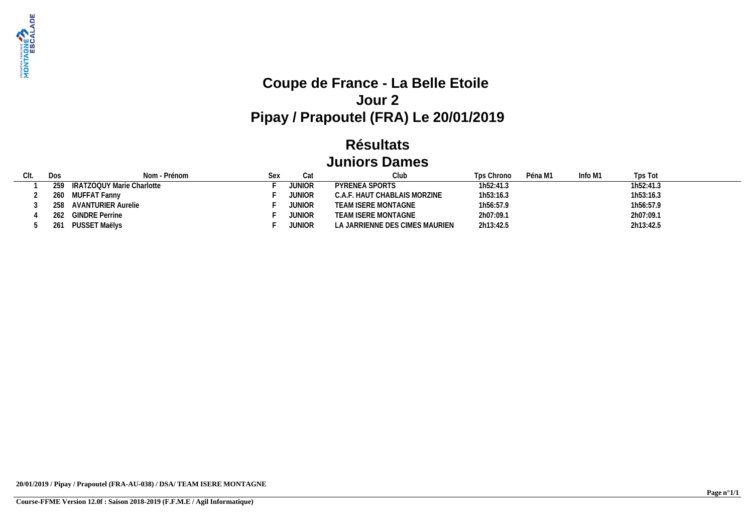

#### **Résultats Juniors Dames**

| CIt. | Dos | Nom - Prénom              | ∵av | Cat          | Club                           | Tps Chrono | Péna M1 | Info M1 | Tps Tot   |
|------|-----|---------------------------|-----|--------------|--------------------------------|------------|---------|---------|-----------|
|      | 259 | IRATZOQUY Marie Charlotte |     | <b>UNIOR</b> | PYRENEA SPORTS                 | 1h52:41.3  |         |         | 1h52:41.3 |
|      |     | 260 MUFFAT Fanny          |     | IUNIOR.      | C.A.F. HAUT CHABLAIS MORZINE   | 1h53:16.3  |         |         | 1h53:16.3 |
|      |     | 258 AVANTURIER Aurelie    |     | JUNIOR.      | TEAM ISERE MONTAGNE            | 1h56:57.9  |         |         | 1h56:57.9 |
|      |     | 262 GINDRE Perrine        |     | IUNIOR.      | TEAM ISERE MONTAGNE            | 2h07:09.1  |         |         | 2h07:09.1 |
|      | 261 | PUSSET Maëlys             |     | iunior       | LA JARRIENNE DES CIMES MAURIEN | 2h13:42.5  |         |         | 2h13:42.5 |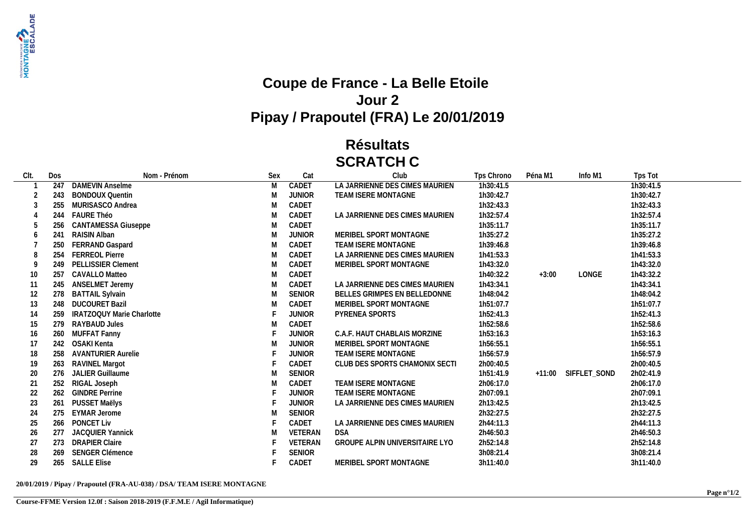

## **Résultats SCRATCH C**

| CIt.         | Dos | Nom - Prénom              | Sex | Cat            | Club                           | Tps Chrono | Péna M1 | Info M1             | Tps Tot   |
|--------------|-----|---------------------------|-----|----------------|--------------------------------|------------|---------|---------------------|-----------|
|              | 247 | DAMEVIN Anselme           | M   | CADET          | LA JARRIENNE DES CIMES MAURIEN | 1h30:41.5  |         |                     | 1h30:41.5 |
|              | 243 | <b>BONDOUX Quentin</b>    | M   | <b>JUNIOR</b>  | TEAM ISERE MONTAGNE            | 1h30:42.7  |         |                     | 1h30:42.7 |
|              | 255 | MURISASCO Andrea          | M   | CADET          |                                | 1h32:43.3  |         |                     | 1h32:43.3 |
|              |     | 244 FAURE Théo            | M   | CADET          | LA JARRIENNE DES CIMES MAURIEN | 1h32:57.4  |         |                     | 1h32:57.4 |
| 5            | 256 | CANTAMESSA Giuseppe       |     | CADET          |                                | 1h35:11.7  |         |                     | 1h35:11.7 |
| <sub>6</sub> | 241 | RAISIN Alban              |     | <b>JUNIOR</b>  | MERIBEL SPORT MONTAGNE         | 1h35:27.2  |         |                     | 1h35:27.2 |
|              | 250 | FERRAND Gaspard           |     | CADET          | TEAM ISERE MONTAGNE            | 1h39:46.8  |         |                     | 1h39:46.8 |
| 8            | 254 | <b>FERREOL Pierre</b>     |     | CADET          | LA JARRIENNE DES CIMES MAURIEN | 1h41:53.3  |         |                     | 1h41:53.3 |
|              |     | PELLISSIER Clement        |     | CADET          | MERIBEL SPORT MONTAGNE         | 1h43:32.0  |         |                     | 1h43:32.0 |
| 10           | 257 | <b>CAVALLO Matteo</b>     |     | CADET          |                                | 1h40:32.2  | $+3:00$ | LONGE               | 1h43:32.2 |
| 11           | 245 | ANSELMET Jeremy           |     | CADET          | LA JARRIENNE DES CIMES MAURIEN | 1h43:34.1  |         |                     | 1h43:34.1 |
| 12           |     | 278 BATTAIL Sylvain       |     | <b>SENIOR</b>  | BELLES GRIMPES EN BELLEDONNE   | 1h48:04.2  |         |                     | 1h48:04.2 |
| 13           | 248 | <b>DUCOURET Bazil</b>     |     | CADET          | MERIBEL SPORT MONTAGNE         | 1h51:07.7  |         |                     | 1h51:07.7 |
| 14           | 259 | IRATZOQUY Marie Charlotte |     | <b>JUNIOR</b>  | PYRENEA SPORTS                 | 1h52:41.3  |         |                     | 1h52:41.3 |
| 15           | 279 | <b>RAYBAUD Jules</b>      | M   | CADET          |                                | 1h52:58.6  |         |                     | 1h52:58.6 |
| 16           | 260 | MUFFAT Fanny              |     | <b>JUNIOR</b>  | C.A.F. HAUT CHABLAIS MORZINE   | 1h53:16.3  |         |                     | 1h53:16.3 |
| 17           | 242 | OSAKI Kenta               | M   | <b>JUNIOR</b>  | MERIBEL SPORT MONTAGNE         | 1h56:55.1  |         |                     | 1h56:55.1 |
| 18           |     | <b>AVANTURIER Aurelie</b> |     | <b>JUNIOR</b>  | TEAM ISERE MONTAGNE            | 1h56:57.9  |         |                     | 1h56:57.9 |
| 19           | 263 | <b>RAVINEL Margot</b>     |     | CADET          | CLUB DES SPORTS CHAMONIX SECTI | 2h00:40.5  |         |                     | 2h00:40.5 |
| 20           | 276 | JALIER Guillaume          | M   | <b>SENIOR</b>  |                                | 1h51:41.9  |         | +11:00 SIFFLET_SOND | 2h02:41.9 |
| 21           | 252 | RIGAL Joseph              | M   | CADET          | TEAM ISERE MONTAGNE            | 2h06:17.0  |         |                     | 2h06:17.0 |
| 22           | 262 | <b>GINDRE Perrine</b>     |     | <b>JUNIOR</b>  | TEAM ISERE MONTAGNE            | 2h07:09.1  |         |                     | 2h07:09.1 |
| 23           | 261 | PUSSET Maëlys             |     | <b>JUNIOR</b>  | LA JARRIENNE DES CIMES MAURIEN | 2h13:42.5  |         |                     | 2h13:42.5 |
| 24           | 275 | <b>EYMAR Jerome</b>       |     | <b>SENIOR</b>  |                                | 2h32:27.5  |         |                     | 2h32:27.5 |
| 25           | 266 | <b>PONCET Liv</b>         |     | CADET          | LA JARRIENNE DES CIMES MAURIEN | 2h44:11.3  |         |                     | 2h44:11.3 |
| 26           | 277 | <b>JACQUIER Yannick</b>   |     | <b>VETERAN</b> | <b>DSA</b>                     | 2h46:50.3  |         |                     | 2h46:50.3 |
| 27           | 273 | <b>DRAPIER Claire</b>     |     | VETERAN        | GROUPE ALPIN UNIVERSITAIRE LYO | 2h52:14.8  |         |                     | 2h52:14.8 |
| 28           | 269 | SENGER Clémence           |     | <b>SENIOR</b>  |                                | 3h08:21.4  |         |                     | 3h08:21.4 |
| 29           | 265 | <b>SALLE Elise</b>        |     | CADET          | MERIBEL SPORT MONTAGNE         | 3h11:40.0  |         |                     | 3h11:40.0 |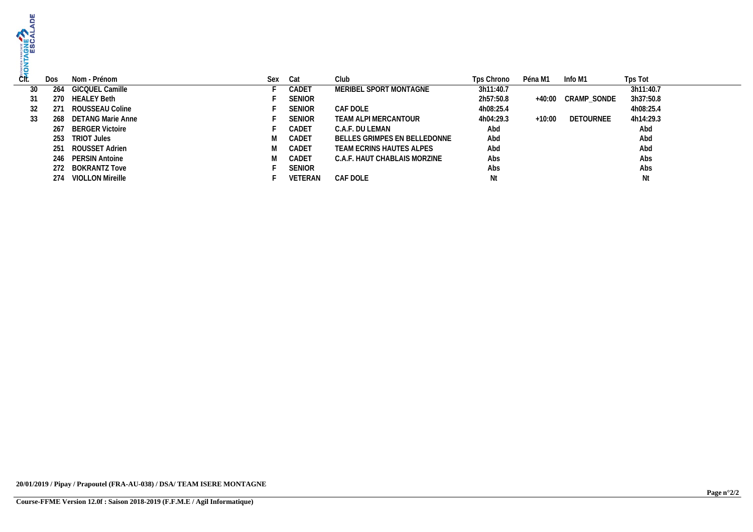

| ČÍt. | Dos | Nom - Prénom          | <b>Sex</b> | Cat               | Club                         | Tps Chrono | Péna M1  | Info M1          | Tps Tot   |
|------|-----|-----------------------|------------|-------------------|------------------------------|------------|----------|------------------|-----------|
| 30   | 264 | GICQUEL Camille       |            | CADE <sup>-</sup> | MERIBEL SPORT MONTAGNE       | 3h11:40.7  |          |                  | 3h11:40.7 |
| -31  |     | 270 HEALEY Beth       |            | <b>SENIOR</b>     |                              | 2h57:50.8  | +40:00   | CRAMP SONDE      | 3h37:50.8 |
| 32   | 271 | ROUSSEAU Coline       |            | <b>SENIOR</b>     | CAF DOLE                     | 4h08:25.4  |          |                  | 4h08:25.4 |
| 33   |     | 268 DETANG Marie Anne |            | SENIOR            | TEAM ALPI MERCANTOUR         | 4h04:29.3  | $+10:00$ | <b>DETOURNEE</b> | 4h14:29.3 |
|      |     | 267 BERGER Victoire   |            | CADET             | C.A.F. DU LEMAN              | Abd        |          |                  | Abd       |
|      |     | 253 TRIOT Jules       | M          | CADET             | BELLES GRIMPES EN BELLEDONNE | Abd        |          |                  | Abd       |
|      |     | 251 ROUSSET Adrien    | M          | CADET             | TEAM ECRINS HAUTES ALPES     | Abd        |          |                  | Abd       |
|      |     | 246 PERSIN Antoine    |            | CADET             | C.A.F. HAUT CHABLAIS MORZINE | Abs        |          |                  | Abs       |
|      |     | 272 BOKRANTZ Tove     |            | <b>SENIOR</b>     |                              | Abs        |          |                  | Abs       |
|      |     | 274 VIOLLON Mireille  |            | <b>VETERAN</b>    | CAF DOLE                     |            |          |                  | Nt        |
|      |     |                       |            |                   |                              |            |          |                  |           |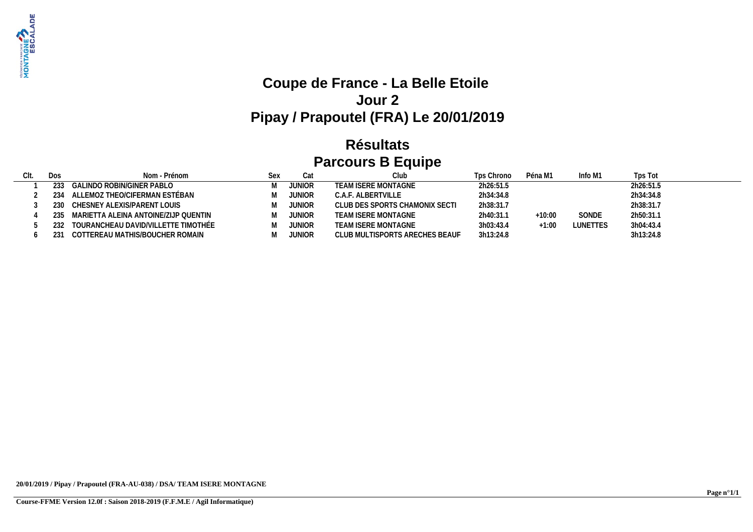

## **Résultats Parcours B Equipe**

| Dos  | Nom - Prénom                             | Sex | Cat    | Club                           | Tps Chrono | -Péna M1 | Info M1         | Tps Tot   |  |
|------|------------------------------------------|-----|--------|--------------------------------|------------|----------|-----------------|-----------|--|
| 233  | GALINDO ROBIN/GINER PABLO                |     | JUNIOR | TEAM ISERE MONTAGNE            | 2h26:51.5  |          |                 | 2h26:51.5 |  |
|      | 234 ALLEMOZ THEO/CIFERMAN ESTÉBAN        |     | JUNIOR | C.A.F. ALBERTVILLE             | 2h34:34.8  |          |                 | 2h34:34.8 |  |
| 230- | CHESNEY ALEXIS/PARENT LOUIS              |     | JUNIOR | CLUB DES SPORTS CHAMONIX SECTI | 2h38:31.7  |          |                 | 2h38:31.7 |  |
|      | 235 MARIETTA ALEINA ANTOINE/ZIJP QUENTIN |     | JUNIOR | TEAM ISERE MONTAGNE            | 2h40:31.1  | $+10:00$ | SONDE           | 2h50:31.1 |  |
|      | 232 TOURANCHEAU DAVID/VILLETTE TIMOTHÉE  |     | JUNIOR | TEAM ISERE MONTAGNE            | 3h03:43.4  | $+1:00$  | <b>LUNETTES</b> | 3h04:43.4 |  |
|      | COTTEREAU MATHIS/BOUCHER ROMAIN          |     | JUNIOR | CLUB MULTISPORTS ARECHES BEAUF | 3h13:24.8  |          |                 | 3h13:24.8 |  |
|      |                                          |     |        |                                |            |          |                 |           |  |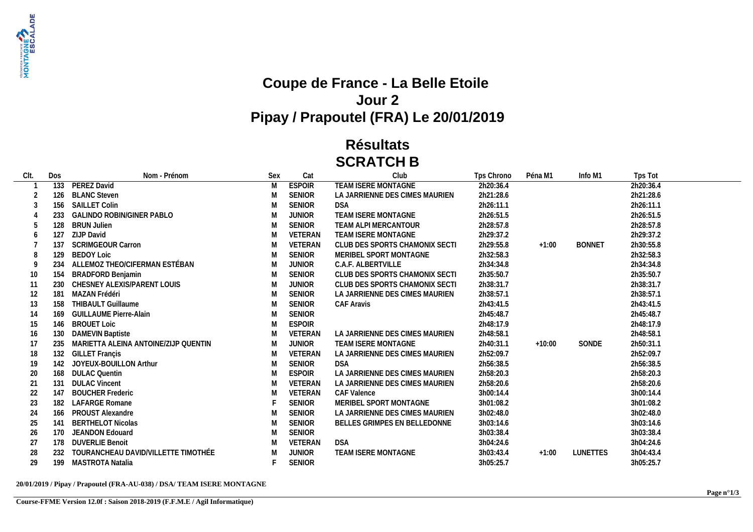

## **Résultats SCRATCH B**

| CIt.         | Dos | Nom - Prénom                         | Sex | Cat            | Club                           | Tps Chrono | Péna M1  | Info M1       | Tps Tot   |
|--------------|-----|--------------------------------------|-----|----------------|--------------------------------|------------|----------|---------------|-----------|
|              | 133 | PEREZ David                          | M   | <b>ESPOIR</b>  | TEAM ISERE MONTAGNE            | 2h20:36.4  |          |               | 2h20:36.4 |
|              | 126 | <b>BLANC Steven</b>                  | M   | <b>SENIOR</b>  | LA JARRIENNE DES CIMES MAURIEN | 2h21:28.6  |          |               | 2h21:28.6 |
| 3            | 156 | <b>SAILLET Colin</b>                 | M   | <b>SENIOR</b>  | <b>DSA</b>                     | 2h26:11.1  |          |               | 2h26:11.1 |
|              | 233 | <b>GALINDO ROBIN/GINER PABLO</b>     | M   | <b>JUNIOR</b>  | TEAM ISERE MONTAGNE            | 2h26:51.5  |          |               | 2h26:51.5 |
| 5            | 128 | <b>BRUN Julien</b>                   |     | <b>SENIOR</b>  | TEAM ALPI MERCANTOUR           | 2h28:57.8  |          |               | 2h28:57.8 |
| <sub>6</sub> | 127 | <b>ZIJP David</b>                    | M   | <b>VETERAN</b> | <b>TEAM ISERE MONTAGNE</b>     | 2h29:37.2  |          |               | 2h29:37.2 |
|              |     | <b>SCRIMGEOUR Carron</b>             |     | <b>VETERAN</b> | CLUB DES SPORTS CHAMONIX SECTI | 2h29:55.8  | $+1:00$  | <b>BONNET</b> | 2h30:55.8 |
| 8            | 129 | <b>BEDOY Loic</b>                    | M   | <b>SENIOR</b>  | MERIBEL SPORT MONTAGNE         | 2h32:58.3  |          |               | 2h32:58.3 |
|              | 234 | ALLEMOZ THEO/CIFERMAN ESTÉBAN        |     | <b>JUNIOR</b>  | C.A.F. ALBERTVILLE             | 2h34:34.8  |          |               | 2h34:34.8 |
| 10           | 154 | <b>BRADFORD Benjamin</b>             |     | <b>SENIOR</b>  | CLUB DES SPORTS CHAMONIX SECTI | 2h35:50.7  |          |               | 2h35:50.7 |
| 11           | 230 | CHESNEY ALEXIS/PARENT LOUIS          |     | <b>JUNIOR</b>  | CLUB DES SPORTS CHAMONIX SECTI | 2h38:31.7  |          |               | 2h38:31.7 |
| 12           | 181 | MAZAN Frédéri                        | M   | <b>SENIOR</b>  | LA JARRIENNE DES CIMES MAURIEN | 2h38:57.1  |          |               | 2h38:57.1 |
| 13           | 158 | <b>THIBAULT Guillaume</b>            |     | <b>SENIOR</b>  | <b>CAF Aravis</b>              | 2h43:41.5  |          |               | 2h43:41.5 |
| 14           | 169 | <b>GUILLAUME Pierre-Alain</b>        | M   | <b>SENIOR</b>  |                                | 2h45:48.7  |          |               | 2h45:48.7 |
| 15           | 146 | <b>BROUET Loic</b>                   | M   | <b>ESPOIR</b>  |                                | 2h48:17.9  |          |               | 2h48:17.9 |
| 16           | 130 | <b>DAMEVIN Baptiste</b>              | M   | <b>VETERAN</b> | LA JARRIENNE DES CIMES MAURIEN | 2h48:58.1  |          |               | 2h48:58.1 |
| 17           | 235 | MARIETTA ALEINA ANTOINE/ZIJP QUENTIN | M   | <b>JUNIOR</b>  | TEAM ISERE MONTAGNE            | 2h40:31.1  | $+10:00$ | SONDE         | 2h50:31.1 |
| 18           |     | 132 GILLET Francis                   | M   | <b>VETERAN</b> | LA JARRIENNE DES CIMES MAURIEN | 2h52:09.7  |          |               | 2h52:09.7 |
| 19           | 142 | JOYEUX-BOUILLON Arthur               | M   | <b>SENIOR</b>  | <b>DSA</b>                     | 2h56:38.5  |          |               | 2h56:38.5 |
| 20           | 168 | <b>DULAC Quentin</b>                 | M   | <b>ESPOIR</b>  | LA JARRIENNE DES CIMES MAURIEN | 2h58:20.3  |          |               | 2h58:20.3 |
| 21           | 131 | <b>DULAC Vincent</b>                 | M   | <b>VETERAN</b> | LA JARRIENNE DES CIMES MAURIEN | 2h58:20.6  |          |               | 2h58:20.6 |
| 22           | 147 | <b>BOUCHER Frederic</b>              | M   | <b>VETERAN</b> | <b>CAF Valence</b>             | 3h00:14.4  |          |               | 3h00:14.4 |
| 23           | 182 | LAFARGE Romane                       |     | <b>SENIOR</b>  | MERIBEL SPORT MONTAGNE         | 3h01:08.2  |          |               | 3h01:08.2 |
| 24           | 166 | <b>PROUST Alexandre</b>              | M   | <b>SENIOR</b>  | LA JARRIENNE DES CIMES MAURIEN | 3h02:48.0  |          |               | 3h02:48.0 |
| 25           | 141 | <b>BERTHELOT Nicolas</b>             | M   | <b>SENIOR</b>  | BELLES GRIMPES EN BELLEDONNE   | 3h03:14.6  |          |               | 3h03:14.6 |
| 26           | 170 | JEANDON Edouard                      | M   | <b>SENIOR</b>  |                                | 3h03:38.4  |          |               | 3h03:38.4 |
| 27           | 178 | <b>DUVERLIE Benoit</b>               | M   | <b>VETERAN</b> | <b>DSA</b>                     | 3h04:24.6  |          |               | 3h04:24.6 |
| 28           |     | TOURANCHEAU DAVID/VILLETTE TIMOTHÉE  |     | <b>JUNIOR</b>  | TEAM ISERE MONTAGNE            | 3h03:43.4  | $+1:00$  | LUNETTES      | 3h04:43.4 |
| 29           | 199 | MASTROTA Natalia                     |     | <b>SENIOR</b>  |                                | 3h05:25.7  |          |               | 3h05:25.7 |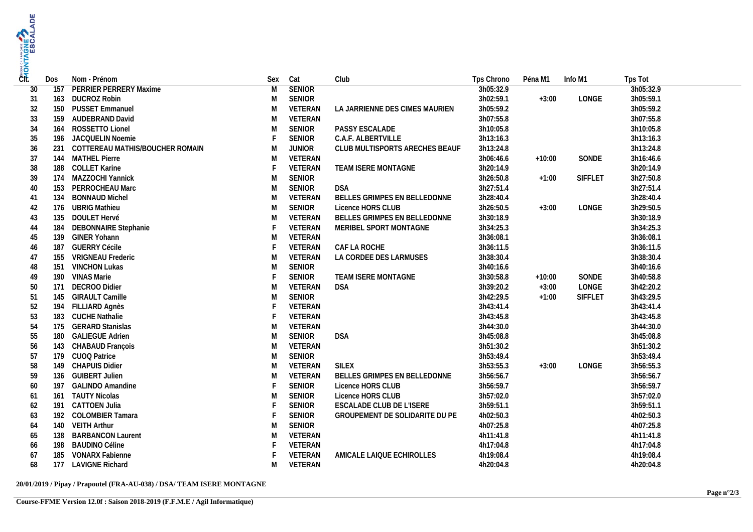| CIt. | Dos. | Nom - Prénom                    | Sex | Cat            | Club                           | Tps Chrono | Péna M1  | Info M1        | Tps Tot   |
|------|------|---------------------------------|-----|----------------|--------------------------------|------------|----------|----------------|-----------|
| 30   | 157  | PERRIER PERRERY Maxime          | M   | <b>SENIOR</b>  |                                | 3h05:32.9  |          |                | 3h05:32.9 |
| -31  |      | 163 DUCROZ Robin                | M   | <b>SENIOR</b>  |                                | 3h02:59.1  | $+3:00$  | LONGE          | 3h05:59.1 |
| 32   |      | 150 PUSSET Emmanuel             | M   | VETERAN        | LA JARRIENNE DES CIMES MAURIEN | 3h05:59.2  |          |                | 3h05:59.2 |
| 33   | 159  | AUDEBRAND David                 | M   | VETERAN        |                                | 3h07:55.8  |          |                | 3h07:55.8 |
| 34   | 164  | ROSSETTO Lionel                 | M   | <b>SENIOR</b>  | PASSY ESCALADE                 | 3h10:05.8  |          |                | 3h10:05.8 |
| 35   | 196  | JACQUELIN Noemie                | F   | <b>SENIOR</b>  | C.A.F. ALBERTVILLE             | 3h13:16.3  |          |                | 3h13:16.3 |
| 36   | 231  | COTTEREAU MATHIS/BOUCHER ROMAIN | M   | <b>JUNIOR</b>  | CLUB MULTISPORTS ARECHES BEAUF | 3h13:24.8  |          |                | 3h13:24.8 |
| 37   |      | 144 MATHEL Pierre               | M   | VETERAN        |                                | 3h06:46.6  | $+10:00$ | SONDE          | 3h16:46.6 |
| 38   |      | 188 COLLET Karine               |     | VETERAN        | TEAM ISERE MONTAGNE            | 3h20:14.9  |          |                | 3h20:14.9 |
| 39   |      | 174 MAZZOCHI Yannick            | M   | <b>SENIOR</b>  |                                | 3h26:50.8  | $+1:00$  | <b>SIFFLET</b> | 3h27:50.8 |
| 40   | 153  | PERROCHEAU Marc                 | M   | <b>SENIOR</b>  | <b>DSA</b>                     | 3h27:51.4  |          |                | 3h27:51.4 |
| 41   | 134  | <b>BONNAUD Michel</b>           | M   | VETERAN        | BELLES GRIMPES EN BELLEDONNE   | 3h28:40.4  |          |                | 3h28:40.4 |
| 42   |      | 176 UBRIG Mathieu               | M   | <b>SENIOR</b>  | Licence HORS CLUB              | 3h26:50.5  | $+3:00$  | LONGE          | 3h29:50.5 |
| 43   |      | 135 DOULET Hervé                | M   | VETERAN        | BELLES GRIMPES EN BELLEDONNE   | 3h30:18.9  |          |                | 3h30:18.9 |
| 44   |      | 184 DEBONNAIRE Stephanie        |     | <b>VETERAN</b> | MERIBEL SPORT MONTAGNE         | 3h34:25.3  |          |                | 3h34:25.3 |
| 45   |      | 139 GINER Yohann                | M   | VETERAN        |                                | 3h36:08.1  |          |                | 3h36:08.1 |
| 46   |      | 187 GUERRY Cécile               | F   | VETERAN        | CAF LA ROCHE                   | 3h36:11.5  |          |                | 3h36:11.5 |
| 47   | 155  | <b>VRIGNEAU Frederic</b>        | M   | VETERAN        | LA CORDEE DES LARMUSES         | 3h38:30.4  |          |                | 3h38:30.4 |
| 48   | 151  | <b>VINCHON Lukas</b>            | M   | <b>SENIOR</b>  |                                | 3h40:16.6  |          |                | 3h40:16.6 |
| 49   |      | 190 VINAS Marie                 |     | <b>SENIOR</b>  | TEAM ISERE MONTAGNE            | 3h30:58.8  | $+10:00$ | SONDE          | 3h40:58.8 |
| 50   |      | 171 DECROO Didier               | M   | VETERAN        | <b>DSA</b>                     | 3h39:20.2  | $+3:00$  | LONGE          | 3h42:20.2 |
| 51   |      | 145 GIRAULT Camille             | M   | <b>SENIOR</b>  |                                | 3h42:29.5  | $+1:00$  | <b>SIFFLET</b> | 3h43:29.5 |
| 52   |      | 194 FILLIARD Agnès              |     | VETERAN        |                                | 3h43:41.4  |          |                | 3h43:41.4 |
| 53   |      | 183 CUCHE Nathalie              |     | VETERAN        |                                | 3h43:45.8  |          |                | 3h43:45.8 |
| 54   |      | 175 GERARD Stanislas            | M   | VETERAN        |                                | 3h44:30.0  |          |                | 3h44:30.0 |
| 55   | 180  | <b>GALIEGUE Adrien</b>          | M   | <b>SENIOR</b>  | <b>DSA</b>                     | 3h45:08.8  |          |                | 3h45:08.8 |
| 56   |      | 143 CHABAUD François            | M   | VETERAN        |                                | 3h51:30.2  |          |                | 3h51:30.2 |
| 57   |      | 179 CUOQ Patrice                | M   | <b>SENIOR</b>  |                                | 3h53:49.4  |          |                | 3h53:49.4 |
| 58   |      | 149 CHAPUIS Didier              | M   | VETERAN        | <b>SILEX</b>                   | 3h53:55.3  | $+3:00$  | LONGE          | 3h56:55.3 |
| 59   |      | 136 GUIBERT Julien              | M   | VETERAN        | BELLES GRIMPES EN BELLEDONNE   | 3h56:56.7  |          |                | 3h56:56.7 |
| 60   |      | 197 GALINDO Amandine            |     | <b>SENIOR</b>  | Licence HORS CLUB              | 3h56:59.7  |          |                | 3h56:59.7 |
| -61  |      | 161 TAUTY Nicolas               | M   | SENIOR         | Licence HORS CLUB              | 3h57:02.0  |          |                | 3h57:02.0 |
| 62   |      | 191 CATTOEN Julia               | F   | <b>SENIOR</b>  | ESCALADE CLUB DE L'ISERE       | 3h59:51.1  |          |                | 3h59:51.1 |
| 63   |      | 192 COLOMBIER Tamara            | F   | <b>SENIOR</b>  | GROUPEMENT DE SOLIDARITE DU PE | 4h02:50.3  |          |                | 4h02:50.3 |
| 64   |      | 140 VEITH Arthur                | M   | <b>SENIOR</b>  |                                | 4h07:25.8  |          |                | 4h07:25.8 |
| 65   | 138  | <b>BARBANCON Laurent</b>        | M   | VETERAN        |                                | 4h11:41.8  |          |                | 4h11:41.8 |
| 66   |      | 198 BAUDINO Céline              |     | VETERAN        |                                | 4h17:04.8  |          |                | 4h17:04.8 |
| 67   | 185  | <b>VONARX Fabienne</b>          |     | VETERAN        | AMICALE LAIQUE ECHIROLLES      | 4h19:08.4  |          |                | 4h19:08.4 |
| 68   |      | 177 LAVIGNE Richard             | M   | VETERAN        |                                | 4h20:04.8  |          |                | 4h20:04.8 |
|      |      |                                 |     |                |                                |            |          |                |           |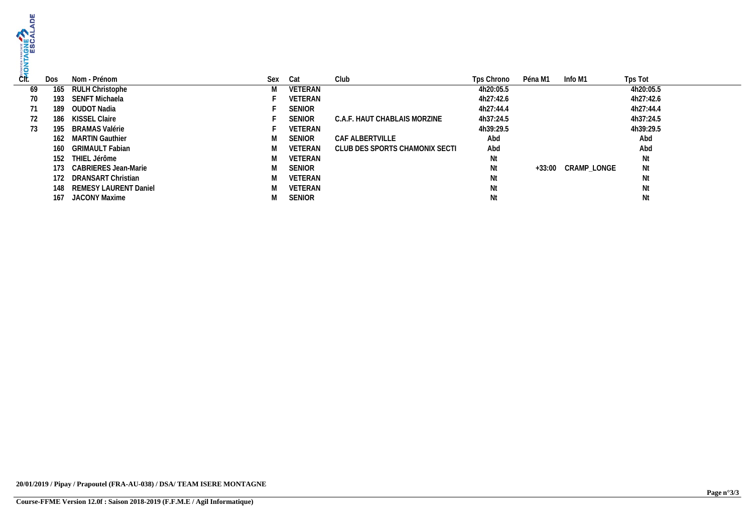

| ČÍt. | <b>Dos</b> | Nom - Prénom              | Sex | Cat           | Club                           | Tps Chrono | Péna M1 | Info M1            | Tps Tot   |
|------|------------|---------------------------|-----|---------------|--------------------------------|------------|---------|--------------------|-----------|
| 69   |            | 165 RULH Christophe       | M   | VETERAN       |                                | 4h20:05.5  |         |                    | 4h20:05.5 |
| 70   |            | 193 SENFT Michaela        |     | VETERAN       |                                | 4h27:42.6  |         |                    | 4h27:42.6 |
| 71   |            | 189 OUDOT Nadia           |     | <b>SENIOR</b> |                                | 4h27:44.4  |         |                    | 4h27:44.4 |
| 72   |            | 186 KISSEL Claire         |     | <b>SENIOR</b> | C.A.F. HAUT CHABLAIS MORZINE   | 4h37:24.5  |         |                    | 4h37:24.5 |
| 73   |            | 195 BRAMAS Valérie        |     | VETERAN       |                                | 4h39:29.5  |         |                    | 4h39:29.5 |
|      |            | 162 MARTIN Gauthier       | M   | SENIOR        | CAF ALBERTVILLE                | Abd        |         |                    | Abd       |
|      |            | 160 GRIMAULT Fabian       | M   | VETERAN       | CLUB DES SPORTS CHAMONIX SECTI | Abd        |         |                    | Abd       |
|      |            | 152 THIEL Jérôme          | M   | VETERAN       |                                | Νt         |         |                    | Nt        |
|      |            | 173 CABRIERES Jean-Marie  | M   | SENIOR        |                                | Νt         |         | +33:00 CRAMP LONGE | Nt        |
|      |            | 172 DRANSART Christian    | M   | VETERAN       |                                | Νt         |         |                    | Nt        |
|      |            | 148 REMESY LAURENT Daniel |     | VETERAN       |                                | Nt         |         |                    | Nt        |
|      | 167.       | <b>JACONY Maxime</b>      |     | <b>SENIOR</b> |                                | Νt         |         |                    | Nt        |
|      |            |                           |     |               |                                |            |         |                    |           |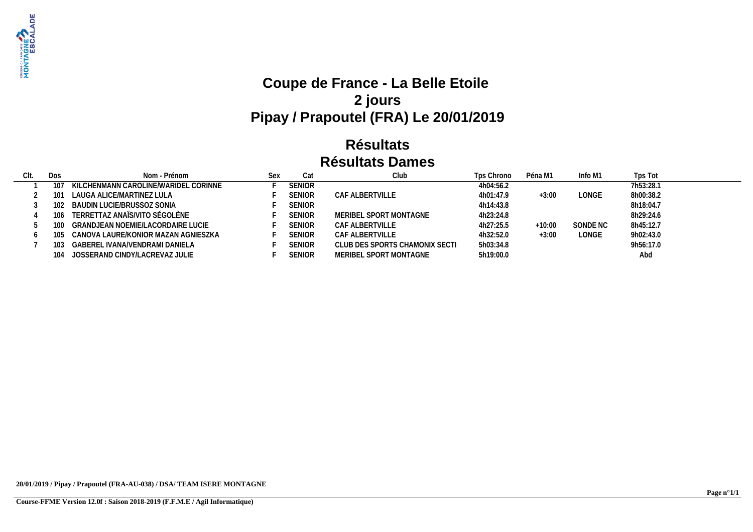

#### **Résultats Résultats Dames**

| Clt. | Dos              | Nom - Prénom                         | Sex | Cat           | Club                           | Tps Chrono | Péna M1  | Info M1  | Tps Tot   |  |
|------|------------------|--------------------------------------|-----|---------------|--------------------------------|------------|----------|----------|-----------|--|
|      | 107              | KILCHENMANN CAROLINE/WARIDEL CORINNE |     | <b>SENIOR</b> |                                | 4h04:56.2  |          |          | 7h53:28.1 |  |
|      | 101              | LAUGA ALICE/MARTINEZ LULA            |     | <b>SENIOR</b> | CAF ALBERTVILLE                | 4h01:47.9  | +3:00    | LONGE    | 8h00:38.2 |  |
|      | 102 <sub>1</sub> | BAUDIN LUCIE/BRUSSOZ SONIA           |     | <b>SENIOR</b> |                                | 4h14:43.8  |          |          | 8h18:04.7 |  |
|      |                  | 106 TERRETTAZ ANAÏS/VITO SÉGOLÈNE    |     | <b>SENIOR</b> | MERIBEL SPORT MONTAGNE         | 4h23:24.8  |          |          | 8h29:24.6 |  |
|      | 100.             | GRANDJEAN NOEMIE/LACORDAIRE LUCIE    |     | <b>SENIOR</b> | CAF ALBERTVILLE                | 4h27:25.5  | $+10:00$ | SONDE NC | 8h45:12.7 |  |
|      | 105              | CANOVA LAURE/KONIOR MAZAN AGNIESZKA  |     | <b>SENIOR</b> | CAF ALBERTVILLE                | 4h32:52.0  | $+3:00$  | LONGE    | 9h02:43.0 |  |
|      | 103.             | GABEREL IVANA/VENDRAMI DANIELA       |     | <b>SENIOR</b> | CLUB DES SPORTS CHAMONIX SECTI | 5h03:34.8  |          |          | 9h56:17.0 |  |
|      | 104              | JOSSERAND CINDY/LACREVAZ JULIE       |     | <b>SENIOR</b> | MERIBEL SPORT MONTAGNE         | 5h19:00.0  |          |          | Abd       |  |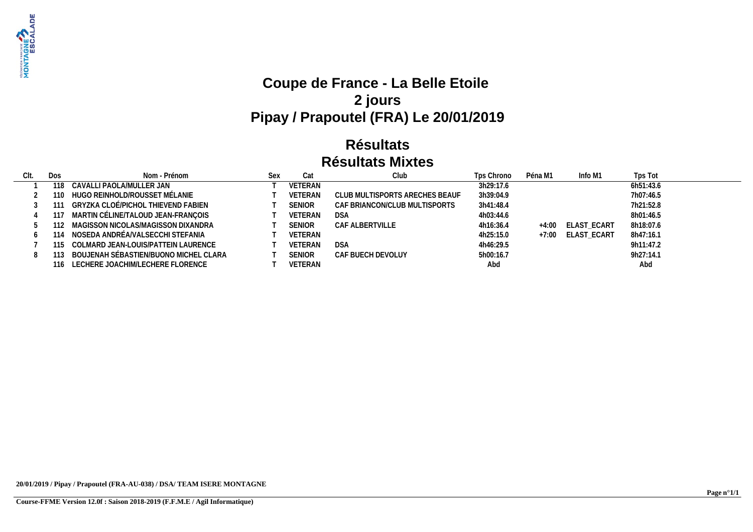

#### **Résultats Résultats Mixtes**

| Clt. | Dos  | Nom - Prénom                              | Sex | Cat            | Club                           | Tps Chrono | Péna M1 | Info M1           | Tps Tot   |  |
|------|------|-------------------------------------------|-----|----------------|--------------------------------|------------|---------|-------------------|-----------|--|
|      | 118. | CAVALLI PAOLA/MULLER JAN                  |     | VETERAN        |                                | 3h29:17.6  |         |                   | 6h51:43.6 |  |
|      |      | 110 HUGO REINHOLD/ROUSSET MÉLANIE         |     | VETERAN        | CLUB MULTISPORTS ARECHES BEAUF | 3h39:04.9  |         |                   | 7h07:46.5 |  |
|      | 111  | GRYZKA CLOÉ/PICHOL THIEVEND FABIEN        |     | <b>SENIOR</b>  | CAF BRIANCON/CLUB MULTISPORTS  | 3h41:48.4  |         |                   | 7h21:52.8 |  |
|      |      | 117 MARTIN CÉLINE/TALOUD JEAN-FRANÇOIS    |     | VETERAN        | .<br>DSA                       | 4h03:44.6  |         |                   | 8h01:46.5 |  |
|      | 112. | MAGISSON NICOLAS/MAGISSON DIXANDRA        |     | <b>SENIOR</b>  | CAF ALBERTVILLE                | 4h16:36.4  |         | +4:00 ELAST ECART | 8h18:07.6 |  |
|      |      | 114 NOSEDA ANDRÉA/VALSECCHI STEFANIA      |     | VETERAN        |                                | 4h25:15.0  |         | +7:00 ELAST ECART | 8h47:16.1 |  |
|      |      | 115 COLMARD JEAN-LOUIS/PATTEIN LAURENCE   |     | <b>VETERAN</b> | <b>DSA</b>                     | 4h46:29.5  |         |                   | 9h11:47.2 |  |
| 8    |      | 113 BOUJENAH SÉBASTIEN/BUONO MICHEL CLARA |     | <b>SENIOR</b>  | CAF BUECH DEVOLUY              | 5h00:16.7  |         |                   | 9h27:14.1 |  |
|      |      | 116 LECHERE JOACHIM/LECHERE FLORENCE      |     | <b>VETERAN</b> |                                | Abd        |         |                   | Abd       |  |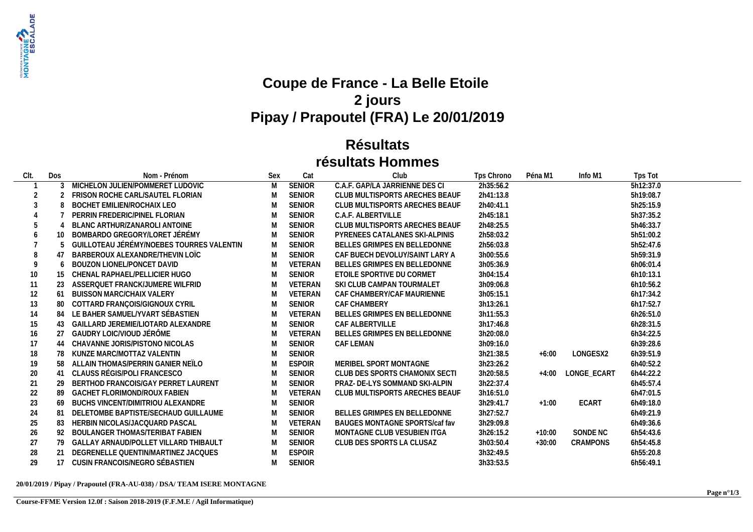

#### **Résultats résultats Hommes**

| CIt. | Dos | Nom - Prénom                              | Sex | Cat           | Club                                 | Tps Chrono | Péna M1  | Info M1           | Tps Tot   |
|------|-----|-------------------------------------------|-----|---------------|--------------------------------------|------------|----------|-------------------|-----------|
|      |     | MICHELON JULIEN/POMMERET LUDOVIC          | M   | <b>SENIOR</b> | C.A.F. GAP/LA JARRIENNE DES CI       | 2h35:56.2  |          |                   | 5h12:37.0 |
|      |     | FRISON ROCHE CARL/SAUTEL FLORIAN          | M   | <b>SENIOR</b> | CLUB MULTISPORTS ARECHES BEAUF       | 2h41:13.8  |          |                   | 5h19:08.7 |
|      |     | BOCHET EMILIEN/ROCHAIX LEO                | M   | <b>SENIOR</b> | CLUB MULTISPORTS ARECHES BEAUF       | 2h40:41.1  |          |                   | 5h25:15.9 |
|      |     | PERRIN FREDERIC/PINEL FLORIAN             | M   | <b>SENIOR</b> | C.A.F. ALBERTVILLE                   | 2h45:18.1  |          |                   | 5h37:35.2 |
|      |     | BLANC ARTHUR/ZANAROLI ANTOINE             | M   | <b>SENIOR</b> | CLUB MULTISPORTS ARECHES BEAUF       | 2h48:25.5  |          |                   | 5h46:33.7 |
| 6    |     | BOMBARDO GREGORY/LORET JÉRÉMY             | M   | <b>SENIOR</b> | PYRENEES CATALANES SKI-ALPINIS       | 2h58:03.2  |          |                   | 5h51:00.2 |
|      |     | GUILLOTEAU JÉRÉMY/NOEBES TOURRES VALENTIN | M   | <b>SENIOR</b> | BELLES GRIMPES EN BELLEDONNE         | 2h56:03.8  |          |                   | 5h52:47.6 |
|      | 47  | BARBEROUX ALEXANDRE/THEVIN LOIC           | M   | SENIOR        | CAF BUECH DEVOLUY/SAINT LARY A       | 3h00:55.6  |          |                   | 5h59:31.9 |
|      |     | <b>BOUZON LIONEL/PONCET DAVID</b>         | M   | VETERAN       | BELLES GRIMPES EN BELLEDONNE         | 3h05:36.9  |          |                   | 6h06:01.4 |
| 10   |     | 15 CHENAL RAPHAEL/PELLICIER HUGO          | M   | <b>SENIOR</b> | ETOILE SPORTIVE DU CORMET            | 3h04:15.4  |          |                   | 6h10:13.1 |
| 11   |     | ASSERQUET FRANCK/JUMERE WILFRID           | M   | VETERAN       | SKI CLUB CAMPAN TOURMALET            | 3h09:06.8  |          |                   | 6h10:56.2 |
| 12   | 61  | <b>BUISSON MARC/CHAIX VALERY</b>          | M   | VETERAN       | CAF CHAMBERY/CAF MAURIENNE           | 3h05:15.1  |          |                   | 6h17:34.2 |
| 13   | 80  | COTTARD FRANÇOIS/GIGNOUX CYRIL            | M   | <b>SENIOR</b> | <b>CAF CHAMBERY</b>                  | 3h13:26.1  |          |                   | 6h17:52.7 |
| 14   | 84  | LE BAHER SAMUEL/YVART SÉBASTIEN           | M   | VETERAN       | BELLES GRIMPES EN BELLEDONNE         | 3h11:55.3  |          |                   | 6h26:51.0 |
| 15   | 43  | GAILLARD JEREMIE/LIOTARD ALEXANDRE        | M   | <b>SENIOR</b> | CAF ALBERTVILLE                      | 3h17:46.8  |          |                   | 6h28:31.5 |
| 16   | 27  | GAUDRY LOIC/VIOUD JÉRÔME                  | M   | VETERAN       | BELLES GRIMPES EN BELLEDONNE         | 3h20:08.0  |          |                   | 6h34:22.5 |
| 17   | 44  | CHAVANNE JORIS/PISTONO NICOLAS            | M   | <b>SENIOR</b> | CAF LEMAN                            | 3h09:16.0  |          |                   | 6h39:28.6 |
| 18   |     | KUNZE MARC/MOTTAZ VALENTIN                | M   | <b>SENIOR</b> |                                      | 3h21:38.5  | $+6:00$  | LONGESX2          | 6h39:51.9 |
| 19   | 58  | ALLAIN THOMAS/PERRIN GANIER NEÏLO         | M   | <b>ESPOIR</b> | MERIBEL SPORT MONTAGNE               | 3h23:26.2  |          |                   | 6h40:52.2 |
| 20   |     | CLAUSS RÉGIS/POLI FRANCESCO               | M   | <b>SENIOR</b> | CLUB DES SPORTS CHAMONIX SECTI       | 3h20:58.5  |          | +4:00 LONGE ECART | 6h44:22.2 |
| 21   | 29  | BERTHOD FRANCOIS/GAY PERRET LAURENT       | M   | <b>SENIOR</b> | PRAZ- DE-LYS SOMMAND SKI-ALPIN       | 3h22:37.4  |          |                   | 6h45:57.4 |
| 22   | 89  | <b>GACHET FLORIMOND/ROUX FABIEN</b>       | M   | VETERAN       | CLUB MULTISPORTS ARECHES BEAUF       | 3h16:51.0  |          |                   | 6h47:01.5 |
| 23   | 69  | BUCHS VINCENT/DIMITRIOU ALEXANDRE         | M   | <b>SENIOR</b> |                                      | 3h29:41.7  | $+1:00$  | ECART             | 6h49:18.0 |
| 24   | -81 | DELETOMBE BAPTISTE/SECHAUD GUILLAUME      | M   | <b>SENIOR</b> | BELLES GRIMPES EN BELLEDONNE         | 3h27:52.7  |          |                   | 6h49:21.9 |
| 25   | 83  | HERBIN NICOLAS/JACQUARD PASCAL            | M   | VETERAN       | <b>BAUGES MONTAGNE SPORTS/caffav</b> | 3h29:09.8  |          |                   | 6h49:36.6 |
| 26   | 92  | BOULANGER THOMAS/TERIBAT FABIEN           | M   | <b>SENIOR</b> | MONTAGNE CLUB VESUBIEN ITGA          | 3h26:15.2  | $+10:00$ | SONDE NC          | 6h54:43.6 |
| 27   | 79  | GALLAY ARNAUD/POLLET VILLARD THIBAULT     | M   | <b>SENIOR</b> | CLUB DES SPORTS LA CLUSAZ            | 3h03:50.4  | $+30:00$ | <b>CRAMPONS</b>   | 6h54:45.8 |
| 28   | 21  | DEGRENELLE QUENTIN/MARTINEZ JACQUES       | M   | <b>ESPOIR</b> |                                      | 3h32:49.5  |          |                   | 6h55:20.8 |
| 29   |     | 17 CUSIN FRANCOIS/NEGRO SÉBASTIEN         | M   | <b>SENIOR</b> |                                      | 3h33:53.5  |          |                   | 6h56:49.1 |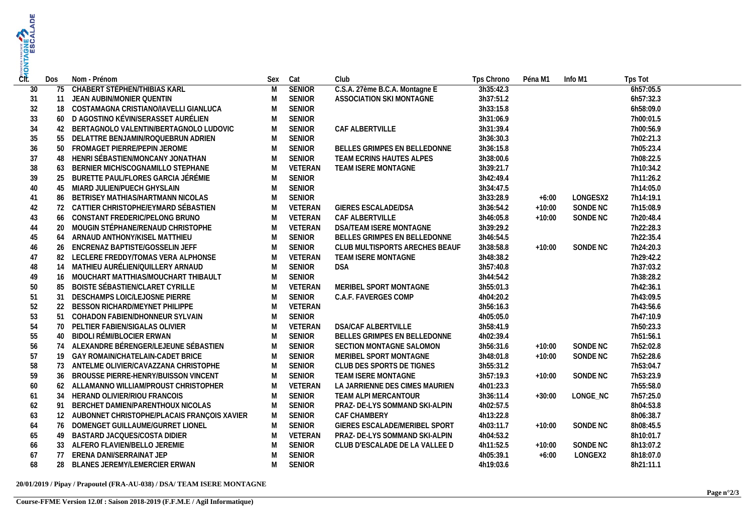| ČÍt.   | <b>Dos</b> | Nom - Prénom                                   | Sex            | Cat           | Club                           | Tps Chrono | Péna M1  | Info M1  | Tps Tot   |
|--------|------------|------------------------------------------------|----------------|---------------|--------------------------------|------------|----------|----------|-----------|
| 30     |            | 75 CHABERT STÉPHEN/THIBIAS KARL                | $\overline{M}$ | <b>SENIOR</b> | C.S.A. 27ème B.C.A. Montagne E | 3h35:42.3  |          |          | 6h57:05.5 |
| 31     | 11         | JEAN AUBIN/MONIER QUENTIN                      | M              | <b>SENIOR</b> | ASSOCIATION SKI MONTAGNE       | 3h37:51.2  |          |          | 6h57:32.3 |
| 32     |            | 18 COSTAMAGNA CRISTIANO/IAVELLI GIANLUCA       | M              | SENIOR        |                                | 3h33:15.8  |          |          | 6h58:09.0 |
| 33     |            | 60 D AGOSTINO KÉVIN/SERASSET AURÉLIEN          | M              | SENIOR        |                                | 3h31:06.9  |          |          | 7h00:01.5 |
| 34     | 42         | BERTAGNOLO VALENTIN/BERTAGNOLO LUDOVIC         | M              | <b>SENIOR</b> | CAF ALBERTVILLE                | 3h31:39.4  |          |          | 7h00:56.9 |
| $35\,$ | 55         | DELATTRE BENJAMIN/ROQUEBRUN ADRIEN             | M              | <b>SENIOR</b> |                                | 3h36:30.3  |          |          | 7h02:21.3 |
| 36     |            | 50 FROMAGET PIERRE/PEPIN JEROME                | M              | SENIOR        | BELLES GRIMPES EN BELLEDONNE   | 3h36:15.8  |          |          | 7h05:23.4 |
| 37     |            | 48 HENRI SÉBASTIEN/MONCANY JONATHAN            | M              | <b>SENIOR</b> | TEAM ECRINS HAUTES ALPES       | 3h38:00.6  |          |          | 7h08:22.5 |
| 38     |            | 63 BERNIER MICH/SCOGNAMILLO STEPHANE           | M              | VETERAN       | TEAM ISERE MONTAGNE            | 3h39:21.7  |          |          | 7h10:34.2 |
| 39     |            | 25 BURETTE PAUL/FLORES GARCIA JÉRÉMIE          | M              | <b>SENIOR</b> |                                | 3h42:49.4  |          |          | 7h11:26.2 |
| 40     |            | 45 MIARD JULIEN/PUECH GHYSLAIN                 | M              | <b>SENIOR</b> |                                | 3h34:47.5  |          |          | 7h14:05.0 |
| 41     |            | 86 BETRISEY MATHIAS/HARTMANN NICOLAS           | M              | <b>SENIOR</b> |                                | 3h33:28.9  | $+6:00$  | LONGESX2 | 7h14:19.1 |
| 42     |            | 72 CATTIER CHRISTOPHE/EYMARD SÉBASTIEN         | M              | VETERAN       | GIERES ESCALADE/DSA            | 3h36:54.2  | $+10:00$ | SONDE NC | 7h15:08.9 |
| 43     |            | 66 CONSTANT FREDERIC/PELONG BRUNO              | M              | VETERAN       | CAF ALBERTVILLE                | 3h46:05.8  | $+10:00$ | SONDE NC | 7h20:48.4 |
| 44     |            | 20 MOUGIN STÉPHANE/RENAUD CHRISTOPHE           | M              | VETERAN       | DSA/TEAM ISERE MONTAGNE        | 3h39:29.2  |          |          | 7h22:28.3 |
| 45     |            | 64 ARNAUD ANTHONY/KISEL MATTHIEU               | M              | <b>SENIOR</b> | BELLES GRIMPES EN BELLEDONNE   | 3h46:54.5  |          |          | 7h22:35.4 |
| 46     |            | 26 ENCRENAZ BAPTISTE/GOSSELIN JEFF             | M              | <b>SENIOR</b> | CLUB MULTISPORTS ARECHES BEAUF | 3h38:58.8  | $+10:00$ | SONDE NC | 7h24:20.3 |
| 47     |            | 82 LECLERE FREDDY/TOMAS VERA ALPHONSE          | M              | VETERAN       | TEAM ISERE MONTAGNE            | 3h48:38.2  |          |          | 7h29:42.2 |
| 48     |            | 14 MATHIEU AURÉLIEN/QUILLERY ARNAUD            | M              | <b>SENIOR</b> | <b>DSA</b>                     | 3h57:40.8  |          |          | 7h37:03.2 |
| 49     |            | 16 MOUCHART MATTHIAS/MOUCHART THIBAULT         | M              | SENIOR        |                                | 3h44:54.2  |          |          | 7h38:28.2 |
| 50     | 85         | BOISTE SÉBASTIEN/CLARET CYRILLE                | M              | VETERAN       | MERIBEL SPORT MONTAGNE         | 3h55:01.3  |          |          | 7h42:36.1 |
| 51     | 31         | DESCHAMPS LOIC/LEJOSNE PIERRE                  | M              | <b>SENIOR</b> | C.A.F. FAVERGES COMP           | 4h04:20.2  |          |          | 7h43:09.5 |
| 52     |            | 22 BESSON RICHARD/MEYNET PHILIPPE              | M              | VETERAN       |                                | 3h56:16.3  |          |          | 7h43:56.6 |
| 53     |            | 51 COHADON FABIEN/DHONNEUR SYLVAIN             | M              | SENIOR        |                                | 4h05:05.0  |          |          | 7h47:10.9 |
| 54     |            | 70 PELTIER FABIEN/SIGALAS OLIVIER              | M              | VETERAN       | <b>DSA/CAF ALBERTVILLE</b>     | 3h58:41.9  |          |          | 7h50:23.3 |
| 55     |            | 40 BIDOLI RÉMI/BLOCIER ERWAN                   | M              | <b>SENIOR</b> | BELLES GRIMPES EN BELLEDONNE   | 4h02:39.4  |          |          | 7h51:56.1 |
| 56     |            | 74 ALEXANDRE BÉRENGER/LEJEUNE SÉBASTIEN        | M              | SENIOR        | SECTION MONTAGNE SALOMON       | 3h56:31.6  | $+10:00$ | SONDE NC | 7h52:02.8 |
| 57     |            | 19 GAY ROMAIN/CHATELAIN-CADET BRICE            | M              | <b>SENIOR</b> | MERIBEL SPORT MONTAGNE         | 3h48:01.8  | $+10:00$ | SONDE NC | 7h52:28.6 |
| 58     |            | 73 ANTELME OLIVIER/CAVAZZANA CHRISTOPHE        | M              | SENIOR        | CLUB DES SPORTS DE TIGNES      | 3h55:31.2  |          |          | 7h53:04.7 |
| 59     |            | 36 BROUSSE PIERRE-HENRY/BUISSON VINCENT        | M              | <b>SENIOR</b> | TEAM ISERE MONTAGNE            | 3h57:19.3  | $+10:00$ | SONDE NC | 7h53:23.9 |
| 60     |            | 62 ALLAMANNO WILLIAM/PROUST CHRISTOPHER        | M              | VETERAN       | LA JARRIENNE DES CIMES MAURIEN | 4h01:23.3  |          |          | 7h55:58.0 |
| 61     | 34         | HERAND OLIVIER/RIOU FRANCOIS                   | M              | SENIOR        | TEAM ALPI MERCANTOUR           | 3h36:11.4  | $+30:00$ | LONGE_NC | 7h57:25.0 |
| 62     | 91         | BERCHET DAMIEN/PARENTHOUX NICOLAS              | M              | SENIOR        | PRAZ- DE-LYS SOMMAND SKI-ALPIN | 4h02:57.5  |          |          | 8h04:53.8 |
| 63     |            | 12 AUBONNET CHRISTOPHE/PLACAIS FRANÇOIS XAVIER | M              | SENIOR        | CAF CHAMBERY                   | 4h13:22.8  |          |          | 8h06:38.7 |
| 64     |            | 76 DOMENGET GUILLAUME/GURRET LIONEL            | M              | SENIOR        | GIERES ESCALADE/MERIBEL SPORT  | 4h03:11.7  | $+10:00$ | SONDE NC | 8h08:45.5 |
| 65     |            | 49 BASTARD JACQUES/COSTA DIDIER                | M              | VETERAN       | PRAZ- DE-LYS SOMMAND SKI-ALPIN | 4h04:53.2  |          |          | 8h10:01.7 |
| 66     |            | 33 ALFERO FLAVIEN/BELLO JEREMIE                | M              | <b>SENIOR</b> | CLUB D'ESCALADE DE LA VALLEE D | 4h11:52.5  | $+10:00$ | SONDE NC | 8h13:07.2 |
| 67     | 77         | ERENA DANI/SERRAINAT JEP                       | M              | <b>SENIOR</b> |                                | 4h05:39.1  | $+6:00$  | LONGEX2  | 8h18:07.0 |
| 68     |            | 28 BLANES JEREMY/LEMERCIER ERWAN               | M              | SENIOR        |                                | 4h19:03.6  |          |          | 8h21:11.1 |
|        |            |                                                |                |               |                                |            |          |          |           |